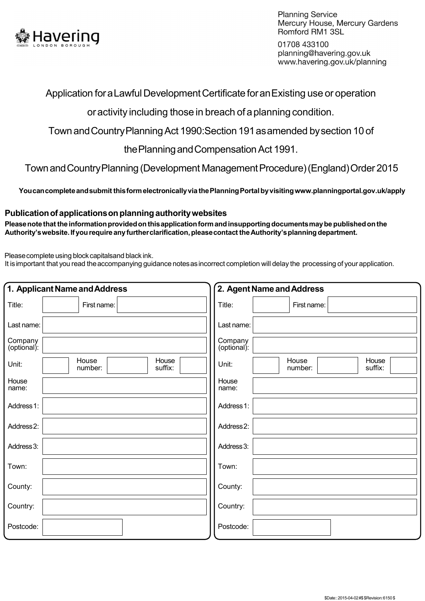

**Planning Service** Mercury House, Mercury Gardens Romford RM1 3SL

01708 433100 planning@havering.gov.uk www.havering.gov.uk/planning

## Application foraLawful Development Certificate foranExisting use or operation

oractivity including those in breach of aplanning condition.

Town andCountryPlanning Act 1990:Section 191asamended bysection 10 of

thePlanningandCompensation Act 1991.

TownandCountryPlanning (Development ManagementProcedure)(England)Order 2015

 **Youcancompleteandsubmit thisformelectronicallyvia thePlanningPortal byvisitingwww.planningportal.gov.uk/apply** 

## **Publicationof applicationson planning authoritywebsites**

Please note that the information provided on this application form and insupporting documents may be published on the  **Authority'swebsite. If you require any furtherclarification, pleasecontact theAuthority'splanning department.** 

Pleasecomplete using block capitalsand black ink.

It isimportant that you read theaccompanying guidance notesasincorrect completion will delay the processing of yourapplication.

|                        | 1. Applicant Name and Address        | 2. Agent Name and Address                     |  |  |  |  |  |  |
|------------------------|--------------------------------------|-----------------------------------------------|--|--|--|--|--|--|
| Title:                 | First name:                          | Title:<br>First name:                         |  |  |  |  |  |  |
| Last name:             |                                      | Last name:                                    |  |  |  |  |  |  |
| Company<br>(optional): |                                      | Company<br>(optional):                        |  |  |  |  |  |  |
| Unit:                  | House<br>House<br>suffix:<br>number: | House<br>House<br>Unit:<br>suffix:<br>number: |  |  |  |  |  |  |
| House<br>name:         |                                      | House<br>name:                                |  |  |  |  |  |  |
| Address 1:             |                                      | Address 1:                                    |  |  |  |  |  |  |
| Address2:              |                                      | Address2:                                     |  |  |  |  |  |  |
| Address 3:             |                                      | Address 3:                                    |  |  |  |  |  |  |
| Town:                  |                                      | Town:                                         |  |  |  |  |  |  |
| County:                |                                      | County:                                       |  |  |  |  |  |  |
| Country:               |                                      | Country:                                      |  |  |  |  |  |  |
| Postcode:              |                                      | Postcode:                                     |  |  |  |  |  |  |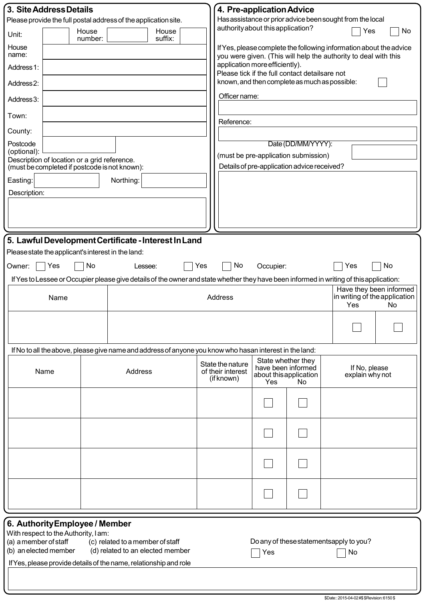|                                                                 | 3. Site Address Details                                                                       |    |                                                |                                                                                                                                         |     |                                                                                                                                       | 4. Pre-application Advice                    |                                                |  |                                         |    |  |  |
|-----------------------------------------------------------------|-----------------------------------------------------------------------------------------------|----|------------------------------------------------|-----------------------------------------------------------------------------------------------------------------------------------------|-----|---------------------------------------------------------------------------------------------------------------------------------------|----------------------------------------------|------------------------------------------------|--|-----------------------------------------|----|--|--|
| Please provide the full postal address of the application site. |                                                                                               |    |                                                |                                                                                                                                         |     | Has assistance or prior advice been sought from the local                                                                             |                                              |                                                |  |                                         |    |  |  |
| Unit:                                                           | House<br>number:                                                                              |    | authority about this application?<br>Yes<br>No |                                                                                                                                         |     |                                                                                                                                       |                                              |                                                |  |                                         |    |  |  |
| House<br>name:                                                  |                                                                                               |    |                                                | suffix:                                                                                                                                 |     | If Yes, please complete the following information about the advice<br>you were given. (This will help the authority to deal with this |                                              |                                                |  |                                         |    |  |  |
| Address 1:                                                      |                                                                                               |    |                                                |                                                                                                                                         |     | application more efficiently).                                                                                                        |                                              | Please tick if the full contact detailsare not |  |                                         |    |  |  |
| Address <sub>2</sub> :                                          |                                                                                               |    |                                                |                                                                                                                                         |     | known, and then complete as much as possible:                                                                                         |                                              |                                                |  |                                         |    |  |  |
| Address 3:                                                      |                                                                                               |    |                                                |                                                                                                                                         |     | Officer name:                                                                                                                         |                                              |                                                |  |                                         |    |  |  |
| Town:                                                           |                                                                                               |    |                                                |                                                                                                                                         |     | Reference:                                                                                                                            |                                              |                                                |  |                                         |    |  |  |
| County:                                                         |                                                                                               |    |                                                |                                                                                                                                         |     |                                                                                                                                       |                                              |                                                |  |                                         |    |  |  |
| Postcode<br>(optional):                                         |                                                                                               |    |                                                |                                                                                                                                         |     | Date (DD/MM/YYYY):                                                                                                                    |                                              |                                                |  |                                         |    |  |  |
|                                                                 | Description of location or a grid reference.<br>(must be completed if postcode is not known): |    |                                                |                                                                                                                                         |     | (must be pre-application submission)<br>Details of pre-application advice received?                                                   |                                              |                                                |  |                                         |    |  |  |
| Easting:                                                        |                                                                                               |    | Northing:                                      |                                                                                                                                         |     |                                                                                                                                       |                                              |                                                |  |                                         |    |  |  |
| Description:                                                    |                                                                                               |    |                                                |                                                                                                                                         |     |                                                                                                                                       |                                              |                                                |  |                                         |    |  |  |
|                                                                 |                                                                                               |    |                                                |                                                                                                                                         |     |                                                                                                                                       |                                              |                                                |  |                                         |    |  |  |
|                                                                 |                                                                                               |    |                                                |                                                                                                                                         |     |                                                                                                                                       |                                              |                                                |  |                                         |    |  |  |
|                                                                 |                                                                                               |    |                                                | 5. Lawful Development Certificate - Interest In Land                                                                                    |     |                                                                                                                                       |                                              |                                                |  |                                         |    |  |  |
| Please state the applicant's interest in the land:              |                                                                                               |    |                                                |                                                                                                                                         |     |                                                                                                                                       |                                              |                                                |  |                                         |    |  |  |
| Owner:                                                          | Yes                                                                                           | No | Lessee:                                        |                                                                                                                                         | Yes | No                                                                                                                                    | Occupier:                                    |                                                |  | Yes                                     | No |  |  |
|                                                                 |                                                                                               |    |                                                | If Yes to Lessee or Occupier please give details of the owner and state whether they have been informed in writing of this application: |     |                                                                                                                                       |                                              |                                                |  |                                         |    |  |  |
| Name                                                            |                                                                                               |    |                                                |                                                                                                                                         |     | Have they been informed<br>in writing of the application<br>Address<br>Yes<br>No                                                      |                                              |                                                |  |                                         |    |  |  |
|                                                                 |                                                                                               |    |                                                |                                                                                                                                         |     |                                                                                                                                       |                                              |                                                |  |                                         |    |  |  |
|                                                                 |                                                                                               |    |                                                |                                                                                                                                         |     |                                                                                                                                       |                                              |                                                |  |                                         |    |  |  |
|                                                                 |                                                                                               |    |                                                | If No to all the above, please give name and address of anyone you know who hasan interest in the land:                                 |     |                                                                                                                                       |                                              | State whether they                             |  |                                         |    |  |  |
| Name<br>Address                                                 |                                                                                               |    |                                                |                                                                                                                                         |     | State the nature<br>of their interest                                                                                                 | have been informed<br>about this application |                                                |  | If No, please<br>explain why not        |    |  |  |
|                                                                 |                                                                                               |    |                                                |                                                                                                                                         |     | (if known)                                                                                                                            | Yes                                          | No                                             |  |                                         |    |  |  |
|                                                                 |                                                                                               |    |                                                |                                                                                                                                         |     |                                                                                                                                       |                                              |                                                |  |                                         |    |  |  |
|                                                                 |                                                                                               |    |                                                |                                                                                                                                         |     |                                                                                                                                       |                                              |                                                |  |                                         |    |  |  |
|                                                                 |                                                                                               |    |                                                |                                                                                                                                         |     |                                                                                                                                       |                                              |                                                |  |                                         |    |  |  |
|                                                                 |                                                                                               |    |                                                |                                                                                                                                         |     |                                                                                                                                       |                                              |                                                |  |                                         |    |  |  |
|                                                                 |                                                                                               |    |                                                |                                                                                                                                         |     |                                                                                                                                       |                                              |                                                |  |                                         |    |  |  |
|                                                                 | 6. Authority Employee / Member                                                                |    |                                                |                                                                                                                                         |     |                                                                                                                                       |                                              |                                                |  |                                         |    |  |  |
| (a) a member of staff                                           | With respect to the Authority, I am:                                                          |    | (c) related to a member of staff               |                                                                                                                                         |     |                                                                                                                                       |                                              |                                                |  | Do any of these statementsapply to you? |    |  |  |
| (b) an elected member                                           |                                                                                               |    |                                                | (d) related to an elected member                                                                                                        |     |                                                                                                                                       | Yes                                          |                                                |  | No                                      |    |  |  |
|                                                                 |                                                                                               |    |                                                | If Yes, please provide details of the name, relationship and role                                                                       |     |                                                                                                                                       |                                              |                                                |  |                                         |    |  |  |

I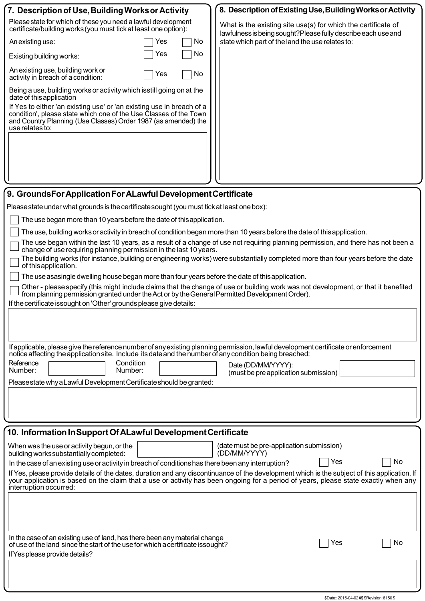| 7. Description of Use, Building Works or Activity<br>8. Description of Existing Use, Building Works or Activity                                                                                                                                                                                                                                                                                                                                                                                                                                                                                                                                                                                                                                                                                                                                                                                                                                                                                                                                                                                                                                                                                                                                                                                                                                                                                                                                                                                                                     |
|-------------------------------------------------------------------------------------------------------------------------------------------------------------------------------------------------------------------------------------------------------------------------------------------------------------------------------------------------------------------------------------------------------------------------------------------------------------------------------------------------------------------------------------------------------------------------------------------------------------------------------------------------------------------------------------------------------------------------------------------------------------------------------------------------------------------------------------------------------------------------------------------------------------------------------------------------------------------------------------------------------------------------------------------------------------------------------------------------------------------------------------------------------------------------------------------------------------------------------------------------------------------------------------------------------------------------------------------------------------------------------------------------------------------------------------------------------------------------------------------------------------------------------------|
| Please state for which of these you need a lawful development<br>What is the existing site use(s) for which the certificate of<br>certificate/building works (you must tick at least one option):<br>lawfulness is being sought?Please fully describe each use and<br>state which part of the land the use relates to:<br>No<br>An existing use:<br>Yes<br>No<br>Yes<br>Existing building works:<br>An existing use, building work or<br>No<br>Yes<br>activity in breach of a condition:<br>Being a use, building works or activity which isstill going on at the<br>date of this application<br>If Yes to either 'an existing use' or 'an existing use in breach of a<br>condition', please state which one of the Use Classes of the Town<br>and Country Planning (Use Classes) Order 1987 (as amended) the<br>use relates to:                                                                                                                                                                                                                                                                                                                                                                                                                                                                                                                                                                                                                                                                                                    |
| 9. GroundsFor Application For ALawful Development Certificate                                                                                                                                                                                                                                                                                                                                                                                                                                                                                                                                                                                                                                                                                                                                                                                                                                                                                                                                                                                                                                                                                                                                                                                                                                                                                                                                                                                                                                                                       |
| Pleasestate under what grounds is the certificate sought (you must tick at least one box):<br>The use began more than 10 years before the date of this application.<br>The use, building works or activity in breach of condition began more than 10 years before the date of this application.<br>The use began within the last 10 years, as a result of a change of use not requiring planning permission, and there has not been a<br>change of use requiring planning permission in the last 10 years.<br>The building works (for instance, building or engineering works) were substantially completed more than four years before the date<br>of this application.<br>The use asasingle dwelling house began more than four years before the date of this application.<br>Other - please specify (this might include claims that the change of use or building work was not development, or that it benefited<br>from planning permission granted under the Act or by the General Permitted Development Order).<br>If the certificate issought on 'Other' grounds please give details:<br>If applicable, please give the reference number of any existing planning permission, lawful development certificate or enforcement<br>notice affecting the application site. Include its date and the number of any condition being breached:<br>Reference<br>Condition<br>Date (DD/MM/YYYY):<br>Number:<br>Number:<br>(must be pre application submission)<br>Please state why a Lawful Development Certificate should be granted: |
| 10. Information In Support Of ALawful Development Certificate                                                                                                                                                                                                                                                                                                                                                                                                                                                                                                                                                                                                                                                                                                                                                                                                                                                                                                                                                                                                                                                                                                                                                                                                                                                                                                                                                                                                                                                                       |
| (date must be pre-application submission)<br>When was the use or activity begun, or the<br>(DD/MM/YYYY)<br>building works substantially completed:<br>Yes<br>No<br>In the case of an existing use or activity in breach of conditions has there been any interruption?<br>If Yes, please provide details of the dates, duration and any discontinuance of the development which is the subject of this application. If<br>your application is based on the claim that a use or activity has been ongoing for a period of years, please state exactly when any<br>interruption occurred:<br>In the case of an existing use of land, has there been any material change<br>Yes<br>No<br>of use of the land since the start of the use for which a certificate issought?                                                                                                                                                                                                                                                                                                                                                                                                                                                                                                                                                                                                                                                                                                                                                               |

IfYesplease provide details?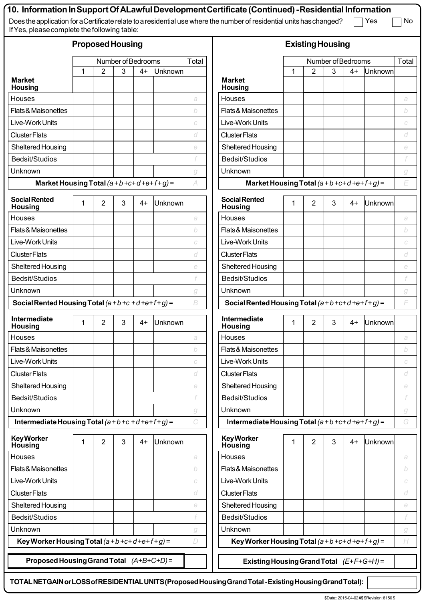| If Yes, please complete the following table:         |   |                |       |      |                    |               | 10.  Information In Support Of ALawful Development Certificate (Continued) -Residential Information<br>Does the application for a Certificate relate to a residential use where the number of residential units has changed? |   |                |   |      | Yes     | No       |
|------------------------------------------------------|---|----------------|-------|------|--------------------|---------------|------------------------------------------------------------------------------------------------------------------------------------------------------------------------------------------------------------------------------|---|----------------|---|------|---------|----------|
| <b>Proposed Housing</b>                              |   |                |       |      |                    |               | <b>Existing Housing</b>                                                                                                                                                                                                      |   |                |   |      |         |          |
| Number of Bedrooms                                   |   |                | Total |      | Number of Bedrooms |               |                                                                                                                                                                                                                              |   |                |   |      |         |          |
|                                                      | 1 | $\overline{2}$ | 3     | $4+$ | Unknown            |               |                                                                                                                                                                                                                              | 1 | 2              | 3 | $4+$ | Unknown | Total    |
| <b>Market</b><br><b>Housing</b>                      |   |                |       |      |                    |               | <b>Market</b><br><b>Housing</b>                                                                                                                                                                                              |   |                |   |      |         |          |
| Houses                                               |   |                |       |      |                    | a             | <b>Houses</b>                                                                                                                                                                                                                |   |                |   |      |         | a        |
| Flats & Maisonettes                                  |   |                |       |      |                    | b             | Flats & Maisonettes                                                                                                                                                                                                          |   |                |   |      |         | b        |
| Live-Work Units                                      |   |                |       |      |                    | $\cal C$      | Live-Work Units                                                                                                                                                                                                              |   |                |   |      |         | C        |
| <b>Cluster Flats</b>                                 |   |                |       |      |                    | d             | <b>Cluster Flats</b>                                                                                                                                                                                                         |   |                |   |      |         | d        |
| Sheltered Housing                                    |   |                |       |      |                    | $\in$         | Sheltered Housing                                                                                                                                                                                                            |   |                |   |      |         | $\in$    |
| Bedsit/Studios                                       |   |                |       |      |                    |               | Bedsit/Studios                                                                                                                                                                                                               |   |                |   |      |         |          |
| Unknown                                              |   |                |       |      |                    | g             | Unknown                                                                                                                                                                                                                      |   |                |   |      |         | g        |
| Market Housing Total $(a + b + c + d + e + f + g) =$ |   |                |       |      |                    | A             | Market Housing Total $(a + b + c + d + e + f + g) =$                                                                                                                                                                         |   |                |   |      |         | E        |
| <b>Social Rented</b><br><b>Housing</b>               | 1 | 2              | 3     | 4+   | Unknown            |               | <b>Social Rented</b><br><b>Housing</b>                                                                                                                                                                                       | 1 | $\overline{2}$ | 3 | $4+$ | Unknown |          |
| Houses                                               |   |                |       |      |                    | a             | Houses                                                                                                                                                                                                                       |   |                |   |      |         | a        |
| Flats & Maisonettes                                  |   |                |       |      |                    | b             | Flats & Maisonettes                                                                                                                                                                                                          |   |                |   |      |         | b        |
| Live-Work Units                                      |   |                |       |      |                    | $\cal C$      | Live-Work Units                                                                                                                                                                                                              |   |                |   |      |         | $\cal C$ |
| <b>Cluster Flats</b>                                 |   |                |       |      |                    | d             | <b>Cluster Flats</b>                                                                                                                                                                                                         |   |                |   |      |         | d        |
| Sheltered Housing                                    |   |                |       |      |                    | $\in$         | Sheltered Housing                                                                                                                                                                                                            |   |                |   |      |         | e        |
| Bedsit/Studios                                       |   |                |       |      |                    |               | Bedsit/Studios                                                                                                                                                                                                               |   |                |   |      |         |          |
| Unknown                                              |   |                |       |      |                    | g             | Unknown                                                                                                                                                                                                                      |   |                |   |      |         | g        |
| Social Rented Housing Total $(a+b+c+d+ef+g)$ =       |   |                |       |      |                    | B             | Social Rented Housing Total $(a+b+c+d+e+f+g)$ =                                                                                                                                                                              |   |                |   |      |         | F        |
| Intermediate<br><b>Housing</b>                       | 1 | 2              | 3     | 4+   | <b>Unknown</b>     |               | Intermediate<br><b>Housing</b>                                                                                                                                                                                               | 1 | 2              | 3 | 4+   | Unknown |          |
| Houses                                               |   |                |       |      |                    | a             | <b>Houses</b>                                                                                                                                                                                                                |   |                |   |      |         | a        |
| <b>Flats &amp; Maisonettes</b>                       |   |                |       |      |                    | b             | Flats & Maisonettes                                                                                                                                                                                                          |   |                |   |      |         | b        |
| Live-Work Units                                      |   |                |       |      |                    | C             | Live-Work Units                                                                                                                                                                                                              |   |                |   |      |         | С        |
| <b>Cluster Flats</b>                                 |   |                |       |      |                    | d             | <b>Cluster Flats</b>                                                                                                                                                                                                         |   |                |   |      |         | d        |
| Sheltered Housing                                    |   |                |       |      |                    | $\in$         | Sheltered Housing                                                                                                                                                                                                            |   |                |   |      |         | e        |
| Bedsit/Studios                                       |   |                |       |      |                    |               | Bedsit/Studios                                                                                                                                                                                                               |   |                |   |      |         |          |
| Unknown                                              |   |                |       |      |                    | g             | Unknown                                                                                                                                                                                                                      |   |                |   |      |         | g        |
| Intermediate Housing Total $(a+b+c+d+e+f+g)$ =       |   |                |       |      |                    | $\mathcal{C}$ | Intermediate Housing Total $(a+b+c+d+e+f+g)$ =<br>G                                                                                                                                                                          |   |                |   |      |         |          |
| <b>Key Worker</b><br>Housing                         | 1 | $\overline{2}$ | 3     | $4+$ | Unknown            |               | <b>Key Worker</b><br>Housing                                                                                                                                                                                                 | 1 | 2              | 3 | $4+$ | Unknown |          |
| Houses                                               |   |                |       |      |                    | a             | Houses                                                                                                                                                                                                                       |   |                |   |      |         | a        |
| Flats & Maisonettes                                  |   |                |       |      |                    | b             | Flats & Maisonettes                                                                                                                                                                                                          |   |                |   |      |         | b        |
| Live-Work Units                                      |   |                |       |      |                    | $\cal C$      | Live-Work Units                                                                                                                                                                                                              |   |                |   |      |         | С        |
| <b>Cluster Flats</b>                                 |   |                |       |      |                    | d             | <b>Cluster Flats</b>                                                                                                                                                                                                         |   |                |   |      |         | d        |
| Sheltered Housing                                    |   |                |       |      |                    | $\in$         | Sheltered Housing                                                                                                                                                                                                            |   |                |   |      |         | e        |
| Bedsit/Studios                                       |   |                |       |      |                    |               | Bedsit/Studios                                                                                                                                                                                                               |   |                |   |      |         |          |
| Unknown                                              |   |                |       |      |                    | g             | Unknown                                                                                                                                                                                                                      |   |                |   |      |         | g        |
| Key Worker Housing Total $(a+b+c+d+e+f+g)$ =         |   |                |       |      |                    | D             | Key Worker Housing Total $(a+b+c+d+e+f+g)$ =                                                                                                                                                                                 |   |                |   |      |         | H        |
| Proposed Housing Grand Total $(A+B+C+D)$ =           |   |                |       |      |                    |               | Existing Housing Grand Total $(E+F+G+H)$ =                                                                                                                                                                                   |   |                |   |      |         |          |

 **TOTALNETGAINorLOSSofRESIDENTIALUNITS(ProposedHousingGrandTotal -ExistingHousingGrandTotal):**